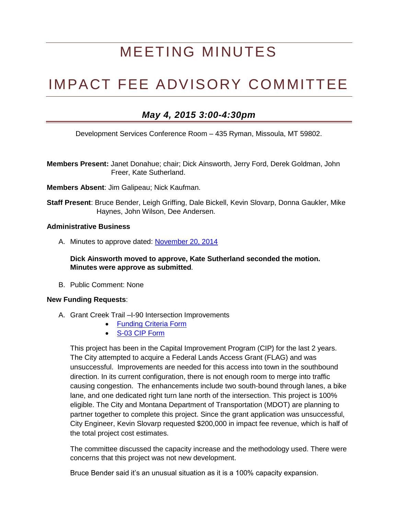# MEETING MINUTES

## IMPACT FEE ADVISORY COMMITTEE

### *May 4, 2015 3:00-4:30pm*

Development Services Conference Room – 435 Ryman, Missoula, MT 59802.

**Members Present:** Janet Donahue; chair; Dick Ainsworth, Jerry Ford, Derek Goldman, John Freer, Kate Sutherland.

**Members Absent**: Jim Galipeau; Nick Kaufman.

**Staff Present**: Bruce Bender, Leigh Griffing, Dale Bickell, Kevin Slovarp, Donna Gaukler, Mike Haynes, John Wilson, Dee Andersen.

#### **Administrative Business**

A. Minutes to approve dated: [November 20, 2014](http://www.ci.missoula.mt.us/DocumentCenter/View/29307)

**Dick Ainsworth moved to approve, Kate Sutherland seconded the motion. Minutes were approve as submitted***.*

B. Public Comment: None

#### **New Funding Requests**:

- A. Grant Creek Trail –I-90 Intersection Improvements
	- Funding Criteria Form
	- [S-03 CIP Form](http://www.ci.missoula.mt.us/DocumentCenter/View/29308)

This project has been in the Capital Improvement Program (CIP) for the last 2 years. The City attempted to acquire a Federal Lands Access Grant (FLAG) and was unsuccessful. Improvements are needed for this access into town in the southbound direction. In its current configuration, there is not enough room to merge into traffic causing congestion. The enhancements include two south-bound through lanes, a bike lane, and one dedicated right turn lane north of the intersection. This project is 100% eligible. The City and Montana Department of Transportation (MDOT) are planning to partner together to complete this project. Since the grant application was unsuccessful, City Engineer, Kevin Slovarp requested \$200,000 in impact fee revenue, which is half of the total project cost estimates.

The committee discussed the capacity increase and the methodology used. There were concerns that this project was not new development.

Bruce Bender said it's an unusual situation as it is a 100% capacity expansion.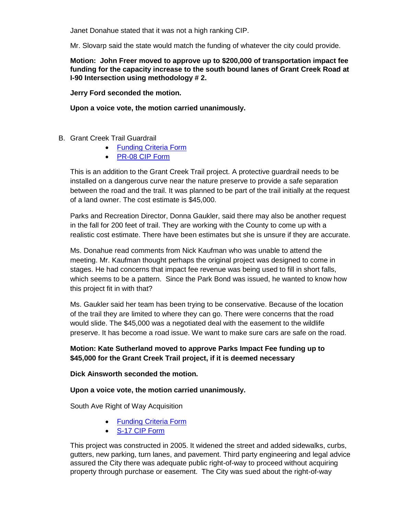Janet Donahue stated that it was not a high ranking CIP.

Mr. Slovarp said the state would match the funding of whatever the city could provide.

**Motion: John Freer moved to approve up to \$200,000 of transportation impact fee funding for the capacity increase to the south bound lanes of Grant Creek Road at I-90 Intersection using methodology # 2.**

**Jerry Ford seconded the motion.**

**Upon a voice vote, the motion carried unanimously.**

- B. Grant Creek Trail Guardrail
	- [Funding Criteria Form](http://www.ci.missoula.mt.us/DocumentCenter/View/29304)
	- [PR-08 CIP Form](http://www.ci.missoula.mt.us/DocumentCenter/View/29313)

This is an addition to the Grant Creek Trail project. A protective guardrail needs to be installed on a dangerous curve near the nature preserve to provide a safe separation between the road and the trail. It was planned to be part of the trail initially at the request of a land owner. The cost estimate is \$45,000.

Parks and Recreation Director, Donna Gaukler, said there may also be another request in the fall for 200 feet of trail. They are working with the County to come up with a realistic cost estimate. There have been estimates but she is unsure if they are accurate.

Ms. Donahue read comments from Nick Kaufman who was unable to attend the meeting. Mr. Kaufman thought perhaps the original project was designed to come in stages. He had concerns that impact fee revenue was being used to fill in short falls, which seems to be a pattern. Since the Park Bond was issued, he wanted to know how this project fit in with that?

Ms. Gaukler said her team has been trying to be conservative. Because of the location of the trail they are limited to where they can go. There were concerns that the road would slide. The \$45,000 was a negotiated deal with the easement to the wildlife preserve. It has become a road issue. We want to make sure cars are safe on the road.

#### **Motion: Kate Sutherland moved to approve Parks Impact Fee funding up to \$45,000 for the Grant Creek Trail project, if it is deemed necessary**

#### **Dick Ainsworth seconded the motion.**

#### **Upon a voice vote, the motion carried unanimously.**

South Ave Right of Way Acquisition

- [Funding Criteria Form](http://www.ci.missoula.mt.us/DocumentCenter/View/29306)
- [S-17 CIP Form](http://www.ci.missoula.mt.us/DocumentCenter/View/29310)

This project was constructed in 2005. It widened the street and added sidewalks, curbs, gutters, new parking, turn lanes, and pavement. Third party engineering and legal advice assured the City there was adequate public right-of-way to proceed without acquiring property through purchase or easement. The City was sued about the right-of-way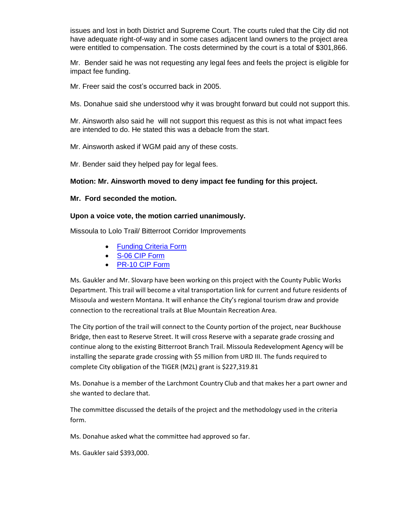issues and lost in both District and Supreme Court. The courts ruled that the City did not have adequate right-of-way and in some cases adjacent land owners to the project area were entitled to compensation. The costs determined by the court is a total of \$301,866.

Mr. Bender said he was not requesting any legal fees and feels the project is eligible for impact fee funding.

Mr. Freer said the cost's occurred back in 2005.

Ms. Donahue said she understood why it was brought forward but could not support this.

Mr. Ainsworth also said he will not support this request as this is not what impact fees are intended to do. He stated this was a debacle from the start.

Mr. Ainsworth asked if WGM paid any of these costs.

Mr. Bender said they helped pay for legal fees.

#### **Motion: Mr. Ainsworth moved to deny impact fee funding for this project.**

#### **Mr. Ford seconded the motion.**

#### **Upon a voice vote, the motion carried unanimously.**

Missoula to Lolo Trail/ Bitterroot Corridor Improvements

- [Funding Criteria Form](http://www.ci.missoula.mt.us/DocumentCenter/View/29305)
- [S-06 CIP Form](http://www.ci.missoula.mt.us/DocumentCenter/View/29311)
- [PR-10 CIP Form](http://www.ci.missoula.mt.us/DocumentCenter/View/29309)

Ms. Gaukler and Mr. Slovarp have been working on this project with the County Public Works Department. This trail will become a vital transportation link for current and future residents of Missoula and western Montana. It will enhance the City's regional tourism draw and provide connection to the recreational trails at Blue Mountain Recreation Area.

The City portion of the trail will connect to the County portion of the project, near Buckhouse Bridge, then east to Reserve Street. It will cross Reserve with a separate grade crossing and continue along to the existing Bitterroot Branch Trail. Missoula Redevelopment Agency will be installing the separate grade crossing with \$5 million from URD III. The funds required to complete City obligation of the TIGER (M2L) grant is \$227,319.81

Ms. Donahue is a member of the Larchmont Country Club and that makes her a part owner and she wanted to declare that.

The committee discussed the details of the project and the methodology used in the criteria form.

Ms. Donahue asked what the committee had approved so far.

Ms. Gaukler said \$393,000.